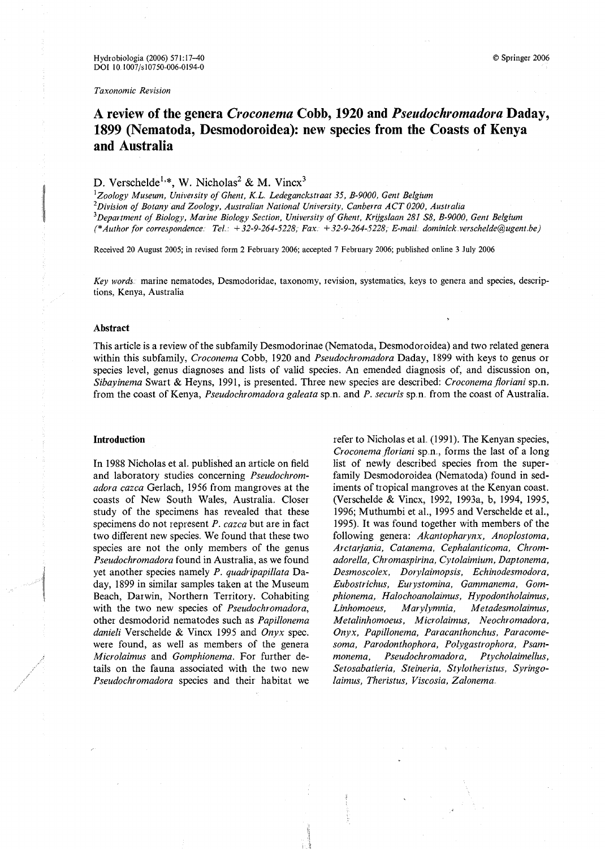*Taxonomic Revision*

# **A review of the genera** *Croconema* **Cobb, 1920 and** *Pseudochromadora* **Daday, 1899 (Nematoda, Desmodoroidea): new species from the Coasts of Kenya and Australia**

## D. Verschelde<sup>1,\*</sup>, W. Nicholas<sup>2</sup> & M. Vincx<sup>3</sup>

*lZ()ology Museum, University of Ghent, K.L Ledeganckstraat* 35, *B-9000, Gent Belgium 2Division oj Botanyand Zoology, Australian National University, Canberra ACT 0200, Australia* 3*Department oj Biology, Marine Biology Section, University of Ghent, Krijgslaan* 281 *S8, B-9000, Gent Belgium* (\**Author [or correspondence. Tel.* + 32-9-264-5228; *Fax* + 32-9-264-5228, *E-mail dominick.verschelde@ugent..be)*

Received 20 August 2005; in revised form 2 February 2006; accepted 7 February 2006; published online 3 July 2006

*Key words* marine nematodes, Desmodoridae, taxonomy, revision, systematics, keys to genera and species, descriptions, Kenya, Australia

#### Abstract

This article is a review of the subfamily Desmodorinae (Nematoda, Desmodoroidea) and two related genera within this subfamily, *Croconema* Cobb, 1920 and *Pseudochromadora* Daday, 1899 with keys to genus or species level, genus diagnoses and lists of valid species. An emended diagnosis of, and discussion on, *Sibayinema* Swart & Heyns, 1991, is presented. Three new species are described: *Croconemafloriani* sp.n. from the coast of Kenya, *Pseudochromadora galeata* sp..n. and *P. securis* sp..n..from the coast of Australia.

### **Introduction**

In 1988 Nicholas et al. published an article on field and laboratory studies concerning *Pseudochromadora cazca* Gerlach, 1956 from mangroves at the coasts of New South Wales, Australia. Closer study of the specimens has revealed that these specimens do not represent *P. cazca* but are in fact two different new species. We found that these two species are not the only members of the genus *Pseudochromadora* found in Australia, as we found yet another species namely *P. quadripapillata* Daday, 1899 in similar samples taken at the Museum Beach, Darwin, Northern Territory. Cohabiting with the two new species of *Pseudochromadora,* other desmodorid nematodes such as *Papillonema danieli* Verschelde & Vincx 1995 and *Onyx* spec. were found, as well as members of the genera *Microlaimus* and *Gomphionema.* For further details on the fauna associated with the two new *Pseudochromadora* species and their habitat we refer to Nicholas et al. (1991). The Kenyan species, *Croconema floriani* sp.n., forms the last of a long list of newly described species from the superfamily Desmodoroidea (Nematoda) found in sediments of tropical mangroves at the Kenyan coast. (Verschelde & Vincx, 1992, 1993a, b, 1994, 1995, 1996; Muthumbi et aI., 1995 and Verschelde et aI., 1995). It was found together with members of the following genera: *Akantopharynx, Anoplostoma, Arctarjania, Catanema, Cephalanticoma, Chromadorella, Chromaspirina, Cytolaimium, Daptonema, Desmoscolex, Dorylaimopsis, Echinodesmodora, Eubostrichus, Eurystomina, Gammanema, Gomphionema, Halochoanolaimus, Hypodontholaimus, Linhomoeus, Marylymnia, Metadesmolaimus, Metalinhomoeus, Microlaimus, Neochromadora, Onyx, Papillonema, Paracanthonchus, Paracomesoma, Parodonthophora, Polygastrophora, Psammonema, Pseudochromadora, Ptycholaimellus, Setosabatieria, Steineria, Stylotheristus, Syringolaimus, Theristus, Viscosia, Zalonema.*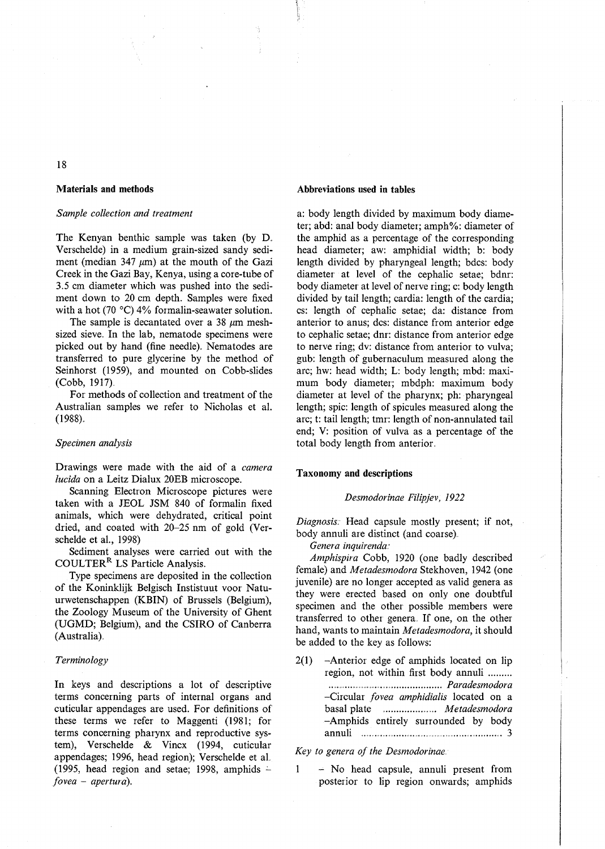#### Materials **and** methods

## *Sample collection and treatment*

The Kenyan benthic sample was taken (by D. Verschelde) in a medium grain-sized sandy sediment (median  $347 \mu m$ ) at the mouth of the Gazi Creek in the Gazi Bay, Kenya, using a core-tube of 3.5 cm diameter which was pushed into the sediment down to 20 cm depth. Samples were fixed with a hot (70  $\degree$ C) 4% formalin-seawater solution.

The sample is decantated over a 38  $\mu$ m meshsized sieve. In the lab, nematode specimens were picked out by hand (fine needle). Nematodes are transferred to pure glycerine by the method of Seinhorst (1959), and mounted on Cobb-slides (Cobb, 1917)..

For methods of collection and treatment of the Australian samples we refer to Nicholas et ai. (1988).

## *Specimen analysis*

Drawings were made with the aid of a *camera lucida* on a Leitz Dialux 20EB microscope.

Scanning Electron Microscope pictures were taken with a JEOL JSM 840 of formalin fixed animals, which were dehydrated, critical point dried, and coated with 20-25 nm of gold (Verschelde et aI., 1998)

Sediment analyses were carried out with the  $C<sup>OULTERR</sup> LS Particle Analysis.$ 

Type specimens are deposited in the collection of the Koninklijk Belgisch Instistuut voor Natuurwetenschappen (KBIN) of Brussels (Belgium), the Zoology Museum of the University of Ghent (UGMD; Belgium), and the CSIRO of Canberra (Australia)..

## *Terminology*

In keys and descriptions a lot of descriptive terms concerning parts of internal organs and cuticular appendages are used. For definitions of these terms we refer to Maggenti (1981; for terms concerning pharynx and reproductive system), Verschelde & Vincx (1994, cuticular appendages; 1996, head region); Verschelde et aL (1995, head region and setae; 1998, amphids  $\div$ *fovea* - *apertura).*

#### Abbreviations used **in** tables

~ t

a: body length divided by maximum body diameter; abd: anal body diameter; amph%: diameter of the amphid as a percentage of the corresponding head diameter; aw: amphidial width; b: body length divided by pharyngeal length; bdcs: body diameter at level of the cephalic setae; bdnr: body diameter at level of nerve ring; c: body length divided by tail length; cardia: length of the cardia; cs: length of cephalic setae; da: distance from anterior to anus; des: distance from anterior edge to cephalic setae; dnr: distance from anterior edge to nerve ring; dv: distance from anterior to vulva; gub: length of gubernaculum measured along the arc; hw: head width; L: body length; mbd: maximum body diameter; mbdph: maximum body diameter at level of the pharynx; ph: pharyngeal length; spic: length of spicules measured along the arc; t: tail length; tmr: length of non-annulated tail end; V: position of vulva as a percentage of the total body length from anterior..

## Taxonomy **and** descriptions

#### *Desmodorinae Filipjev,* 1922

*Diagnosis.:* Head capsule mostly present; if not, body annuli are distinct (and coarse)..

*Genera inquirenda.'*

*Amphispira* Cobb, 1920 (one badly described female) and *Metadesmodora* Stekhoven, 1942 (one juvenile) are no longer accepted as valid genera as they were erected based on only one doubtful specimen and the other possible members were transferred to other genera.. If one, on the other hand, wants to maintain *Metadesmodora,* it should be added to the key as follows:

2(1) -Anterior edge of amphids located on lip region, not within first body annuli ......... .. ,....". '''''''''''''''''''''''''''''' *Paradesmodora* -Circular *fovea amphidialis* located on a basal plate *Metadesmodora* -Amphids entirely surrounded by body annuli ....................... " .".." " 3

*Key to genera of the Desmodorinae*

 $\mathbf{1}$ <sup>~</sup> No head capsule, annuli present from posterior to lip region onwards; amphids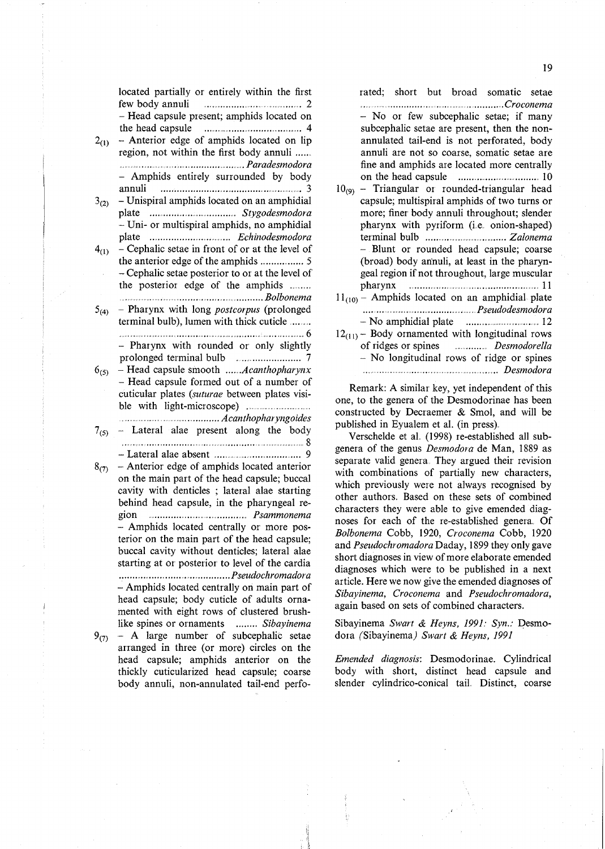located partially or entirely within the first few body annuli - Head capsule present; amphids located on . . . . . . . . . . . . 2 the head capsule  $2_{(1)}$  - Anterior edge of amphids located on lip 4 region, not within the first body annuli ...... """.."... *Paradesmodora* - Amphids entirely surrounded by body annuli  $3_{(2)}$  – Unispiral amphids located on an amphidia . . . . . . . . . . . 3 plate *S~ygodesmodora* - Uni- or multispiral amphids, no amphidial plate *Echinodesmodora*  $4_{(1)}$  – Cephalic setae in front of or at the level of the anterior edge of the amphids  $...,$  5 - Cephalic setae posterior to or at the level of the posterior edge of the amphids ...""  $5_{(4)}$  - Pharynx with long *postcorpus* (prolonged terminal bulb), lumen with thick cuticle....... ".", ...".. ""..."..""." 6 - Pharynx with rounded or only slightly prolonged terminal bulb 7 6<sub>(5)</sub> – Head capsule smooth *......Acanthopharyn* - Head capsule formed out of a number of cuticular plates *(suturae* between plates visible with light-microscope) ...................... """ . ...,... *Acanthopharyngoides*  $7_{(5)}$  - Lateral alae present along the body - Lateral alae absent .............. . ".. ... ... 8  $8_{(7)}$  – Anterior edge of amphids located anterior on the main part of the head capsule; buccal cavity with denticles ; lateral alae starting behind head capsule, in the pharyngeal region .." ". *Psammonema* - Amphids located centrally or more posterior on the main part of the head capsule; buccal cavity without denticles; lateral alae starting at or posterior to level of the cardia .." " " "..". " *Pseudochromadora* - Amphids located centrally on main part of head capsule; body cuticle of adults ornamented with eight rows of clustered brushlike spines or ornaments ........ Sibayinema  $9_{(7)}$  - A large number of subcephalic setae

> arranged in three (or more) circles on the head capsule; amphids anterior on the thickly cuticularized head capsule; coarse body annuli, non-annulated tail-end perfo-

> > $\hat{\mathbb{I}}$ '!,\  $\mathbf{i} \cdot \mathbf{k}$  .

rated; short but broad somatic setae - No or few subcephalic setae; if man *Croconema* subcephalic setae are present, then the nonannulated tail-end is not perforated, body annuli are not so coarse, somatic setae are fine and amphids are located more centrally on the head capsule ,

 $10_{(9)}$  - Triangular or rounded-triangular head capsule; multispiral amphids of two turns or more; finer body annuli throughout; slender pharynx with pyriform (i.e. onion-shaped) terminal bulb ............................. Zalonema - Blunt or rounded head capsule; coarse (broad) body annuli, at least in the pharyngeal region if not throughout, large muscular pharynx " """". 11  $11_{(10)}$  – Amphids located on an amphidial plate " "" ., - No amphidial plate ..12 ..",," *Pseudodesmodora*  $12_{(11)}$  – Body ornamented with longitudinal rows of ridges or spines ". *Desmodorella* - No longitudinal rows of ridge or spines *Desmodora*

Remark: A similar key, yet independent of this one, to the genera of the Desmodorinae has been constructed by Decraemer & Smol, and will be published in Eyualem et aI. (in press)..

Verschelde et aL (1998) re-established all subgenera of the genus *Desmodora* de Man, 1889 as separate valid genera. They argued their revision with combinations of partially new characters, which previously were not always recognised by other authors. Based on these sets of combined characters they were able to give emended diagnoses for each of the re-established genera. Of *Bolbonema* Cobb, 1920, *Croconema* Cobb, 1920 and *Pseudochromadora* Daday, 1899 they only gave short diagnoses in view of more elaborate emended diagnoses which were to be published in a next article. Here we now give the emended diagnoses of *Sibayinema, Croconema* and *Pseudochromadora,* again based on sets of combined characters.

Sibayinema *Swart* & *Heyns, 1991: Syn.: Desmo*dora (Sibayinema) *Swart* & *Heyns,* 1991

*Emended diagnosis:* Desmodorinae. Cylindrical body with short, distinct head capsule and slender cylindrico-conical taiL Distinct, coarse

19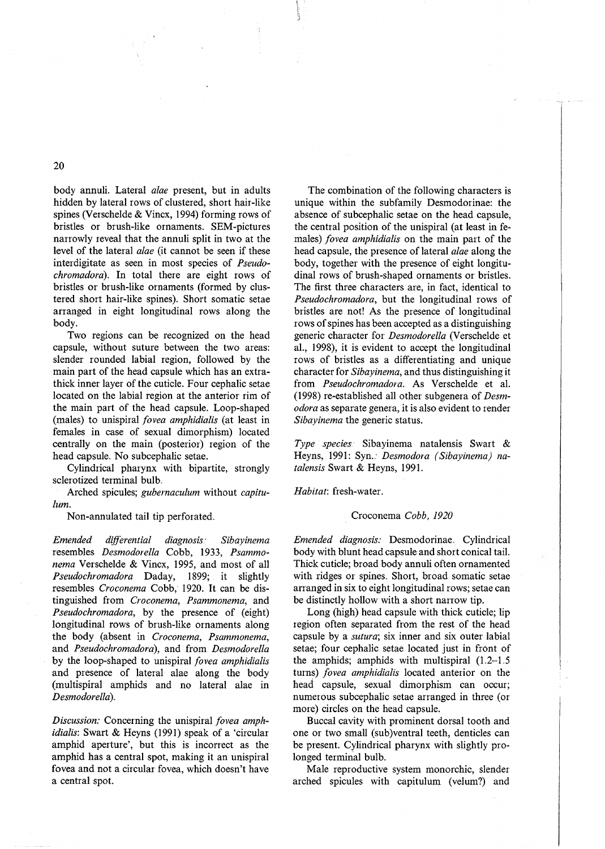body annuli. Lateral *alae* present, but in adults hidden by lateral rows of clustered, short hair-like spines (Verschelde & Vincx, 1994) forming rows of bristles or brush-like ornaments. SEM-pictures narrowly reveal that the annuli split in two at the level of the lateral *alae* (it cannot be seen if these interdigitate as seen in most species of *Pseudochromadora).* **In** total there are eight rows of bristles or brush-like ornaments (formed by clustered short hair-like spines). Short somatic setae arranged in eight longitudinal rows along the body.

Two regions can be recognized on the head capsule, without suture between the two areas: slender rounded labial region, followed by the main part of the head capsule which has an extrathick inner layer of the cuticle. Four cephalic setae located on the labial region at the anterior rim of the main part of the head capsule. Loop-shaped (males) to unispiral *fovea amphidialis* (at least in females in case of sexual dimorphism) located centrally on the main (posterior) region of the head capsule. No subcephalic setae.

Cylindrical pharynx with bipartite, strongly sclerotized terminal bulb,

Arched spicules; *gubernaculum* without *capitulum.*

Non-annulated tail tip perforated.

*Emended differential diagnosis' Sibayinema* resembles *Desmodorella* Cobb, 1933, *Psammonema* Verschelde & Vincx, 1995, and most of all *Pseudochromadora* Daday, 1899; it slightly resembles *Croconema* Cobb, 1920. It can be distinguished from *Croconema, Psammonema,* and *Pseudochromadora,* by the presence of (eight) longitudinal rows of brush-like ornaments along the body (absent in *Croconema, Psammonema,* and *Pseudochromadora),* and from *Desmodorella* by the loop~shaped to unispiral *fovea amphidialis* and presence of lateral alae along the body (muItispiral amphids and no lateral alae in *Desmodorella* )..

*Discussion:* Concerning the unispiral *fovea amphidialis:* Swart & Heyns (1991) speak of a 'circular amphid aperture', but this is incorrect as the amphid has a central spot, making it an unispiral fovea and not a circular fovea, which doesn't have a central spot.

The combination of the following characters is unique within the subfamily Desmodorinae: the absence of subcephalic setae on the head capsule, the central position of the unispiral (at least in females) *fovea amphidialis* on the main part of the head capsule, the presence of lateral *alae* along the body, together with the presence of eight longitudinal rows of brush-shaped ornaments or bristles. The first three characters are, in fact, identical to *Pseudochromadora,* but the longitudinal rows of bristles are not! As the presence of longitudinal rows of spines has been accepted as a distinguishing generic character for *Desmodorella* (Verschelde et aI., 1998), it is evident to accept the longitudinal rows of bristles as a differentiating and unique character for *Sibayinema,* and thus distinguishing it from *Pseudochromadora.* As Verschelde et al. (1998) re-established all other subgenera of *Desmodora* as separate genera, it is also evident to render *Sibayinema* the generic status.

*Type species* Sibayinema natalensis Swart & Heyns, 1991: Syn.,' *Desmodora (Sibayinema) natalensis* Swart & Heyns, 1991.

*Habitat:* fresh-water.

l',

#### Croconema *Cobb, 1920*

*Emended diagnosis:* Desmodorinae. Cylindrical body with blunt head capsule and short conical tail. Thick cuticle; broad body annuli often ornamented with ridges or spines. Short, broad somatic setae arranged in six to eight longitudinal rows; setae can be distinctly hollow with a short narrow tip.

Long (high) head capsule with thick cuticle; lip region often separated from the rest of the head capsule by a *sutura;* six inner and six outer labial setae; *four* cephalic setae located just in front of the amphids; amphids with multispiral  $(1.2-1.5)$ turns) *fovea amphidialis* located anterior on the head capsule, sexual dimorphism can occur; numerous subcephalic setae arranged in three (or more) circles on the head capsule.

Buccal cavity with prominent dorsal tooth and one or two small (sub)ventral teeth, denticles can be present. Cylindrical pharynx with slightly prolonged terminal bulb.

Male reproductive system monorchic, slender arched spicules with capitulum (velum?) and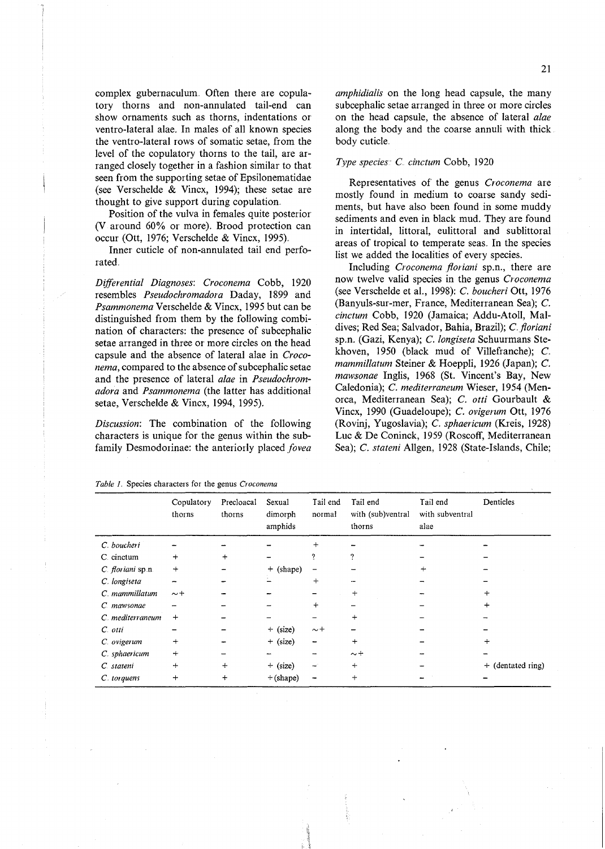complex gubernaculum. Often there are copulatory thorns and non-annulated tail-end can show ornaments such as thoms, indentations or ventro-Iateral alae. In males of all known species the ventro-Iateral rows of somatic setae, from the level of the copulatory thorns to the tail, are arranged closely together in a fashion similar to that seen from the supporting setae of Epsilonematidae (see Verschelde & Vincx, 1994); these setae are thought to give support during copulation.

Position of the vulva in females quite posterior (V around 60% or more). Brood protection can occur (Ott, 1976; Verschelde & Vincx, 1995)..

Inner cuticle of non-annulated tail end perforated,

*Differential Diagnoses: Croconema* Cobb, 1920 resembles *Pseudochromadora* Daday, 1899 and *Psammonema* Verschelde & Vincx, 1995 but can be distinguished from them by the following combination of characters: the presence of subcephalic setae arranged in three or more circles on the head capsule and the absence of lateral alae in *Croconema,* compared to the absence of subcephalic setae and the presence of lateral *alae* in *Pseudochromadora* and *Psammonema* (the latter has additional setae, Verschelde & Vincx, 1994, 1995).

*Discussion:* The combination of the following characters is unique for the genus within the subfamily Desmodorinae: the anteriorly placed *fovea* *amphidialis* on the long head capsule, the many subcephalic setae arranged in three or more circles on the head capsule, the absence of lateral *alae* along the body and the coarse annuli with thick body cuticle,

## *Type species* C. *cinctum* Cobb, 1920

Representatives of the genus *Croconema* are mostly found in medium to coarse sandy sediments, but have also been found in some muddy sediments and even in black mud. They are found in intertidal, littoral, eulittoral and sublittoral areas of tropical to temperate seas. In the species list we added the localities of every species.

Including *Croconema floriani* sp.n., there are now twelve valid species in the genus *Croconema* (see Verschelde et aI., 1998): C. *boucheri* Ott, 1976 (Banyuls-sur-mer, France, Mediterranean Sea); C. *cinctum* Cobb, 1920 (Jamaica; Addu-Atoll, Maldives; Red Sea; Salvador, Bahia, Brazil); *C. floriani* sp.n. (Gazi, Kenya); C. *longiseta* Schuurmans Stekhoven, 1950 (black mud of Villefranche); C. *mammillatum* Steiner & Hoeppli, 1926 (Japan); C. *mawsonae* Inglis, 1968 (St. Vincent's Bay, New Caledonia); C. *mediterraneum* Wieser, 1954 (Menorca, Mediterranean Sea); C. *otti* Gourbault & Vincx, 1990 (Guadeloupe); C. *ovigerum* Ott, 1976 (Rovinj, Yugoslavia); C. *sphaericum* (Kreis, 1928) Luc & De Coninck, 1959 (Roscoff, Mediterranean Sea); C. *stateni* Allgen, 1928 (State-Islands, Chile;

|                   | Copulatory<br>thorns | Precloacal<br>thorns | Sexual<br>dimorph<br>amphids | Tail end<br>normal | Tail end<br>with (sub)ventral<br>thorns | Tail end<br>with subventral<br>alae | Denticles           |
|-------------------|----------------------|----------------------|------------------------------|--------------------|-----------------------------------------|-------------------------------------|---------------------|
| C. boucheri       |                      |                      |                              | $\div$             |                                         |                                     |                     |
| C. cinctum        | $\div$               | $\div$               |                              | ?                  | ?                                       |                                     |                     |
| C. floriani sp.n. | $\div$               |                      | + (shape)                    | -                  |                                         |                                     |                     |
| C. longiseta      |                      |                      |                              | ┿                  |                                         |                                     |                     |
| C. mammillatum    | $\sim +$             |                      |                              |                    | $\ddot{}$                               |                                     | ÷                   |
| C. mawsonae       |                      |                      |                              | ÷                  |                                         |                                     | $\mathrm{+}$        |
| C. mediterraneum  | $\div$               |                      |                              |                    | $\ddot{}$                               |                                     |                     |
| $C.$ $otti$       |                      |                      | $+$ (size)                   | $\sim +$           |                                         |                                     |                     |
| C ovigerum        | $+$                  |                      | $+$ (size)                   | ⊷                  | $\ddot{}$                               |                                     | ÷                   |
| C. sphaericum     | ÷                    |                      |                              |                    | $\sim +$                                |                                     |                     |
| C. stateni        | ÷                    | $+$                  | $+$ (size)                   |                    | $+$                                     |                                     | $+$ (dentated ring) |
| C. torquens       | $\div$               | $\div$               | $+(shape)$                   |                    | $\ddot{}$                               |                                     |                     |

*Table* 1.. Species characters for the genus *Croconema*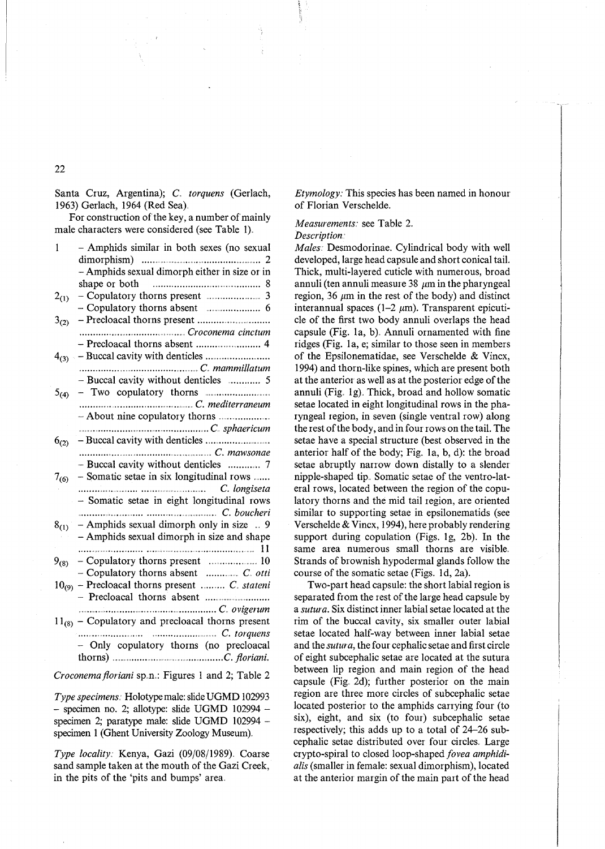Santa Cruz, Argentina); C. *torquens* (Gerlach, 1963) Gerlach, 1964 (Red Sea),

For construction of the key, a number of mainly male characters were considered (see Table 1).

| 1          | - Amphids similar in both sexes (no sexual                                                                                    |
|------------|-------------------------------------------------------------------------------------------------------------------------------|
|            | 2                                                                                                                             |
|            | - Amphids sexual dimorph either in size or in                                                                                 |
|            |                                                                                                                               |
| $2_{(1)}$  |                                                                                                                               |
|            |                                                                                                                               |
| $3_{(2)}$  |                                                                                                                               |
|            |                                                                                                                               |
|            | - Buccal cavity with denticles                                                                                                |
| $4_{(3)}$  |                                                                                                                               |
|            |                                                                                                                               |
|            |                                                                                                                               |
| $5_{(4)}$  |                                                                                                                               |
|            | - About nine copulatory thorns                                                                                                |
|            |                                                                                                                               |
| $6_{(2)}$  |                                                                                                                               |
|            |                                                                                                                               |
|            |                                                                                                                               |
| $7_{(6)}$  | - Somatic setae in six longitudinal rows                                                                                      |
|            |                                                                                                                               |
|            | - Somatic setae in eight longitudinal rows                                                                                    |
|            |                                                                                                                               |
| $8_{(1)}$  | - Amphids sexual dimorph only in size  9                                                                                      |
|            | - Amphids sexual dimorph in size and shape                                                                                    |
|            |                                                                                                                               |
| $9_{(8)}$  |                                                                                                                               |
|            | - Copulatory thorns absent  C. otti                                                                                           |
| $10_{(9)}$ | - Precloacal thorns present  C. stateni                                                                                       |
|            |                                                                                                                               |
|            |                                                                                                                               |
| $11_{(8)}$ | - Copulatory and precloacal thorns present                                                                                    |
|            | $\cdots$ $\cdots$ $\cdots$ $\cdots$ $\cdots$ $\cdots$ $\cdots$ $\cdots$ $\cdots$ $\cdots$ $\cdots$ $\cdots$ $\cdots$ $\cdots$ |
|            | - Only copulatory thorns (no precloacal                                                                                       |
|            |                                                                                                                               |

*Croconema floriani* sp.n.: Figures 1 and 2; Table 2

*Type specimens*: Holotype male: slide UGMD 102993  $-$  specimen no. 2; allotype: slide UGMD 102994  $$ specimen 2; paratype male: slide UGMD 102994 specimen 1 (Ghent University Zoology Museum).

*Type locality,* Kenya, Gazi (09/08/1989)., Coarse sand sample taken at the mouth of the Gazi Creek, in the pits of the 'pits and bumps' area,

*Etymology:'* This species has been named in honour of Florian Verschelde.

## *Measurements"* see Table 2. *Description..*

*Males.* Desmodorinae. Cylindrical body with well developed, large head capsule and short conical tail. Thick, multi-layered cuticle with numerous, broad annuli (ten annuli measure  $38 \mu m$  in the pharyngeal region, 36  $\mu$ m in the rest of the body) and distinct interannual spaces  $(1-2 \mu m)$ . Transparent epicuticle of the first two body annuli overlaps the head capsule (Fig. 1a, b). Annuli ornamented with fine ridges (Fig. la, e; similar to those seen in members of the Epsilonematidae, see Verschelde & Vincx, 1994) and thorn-like spines, which are present both at the anterior as well as at the posterior edge of the annuli (Fig. 1g). Thick, broad and hollow somatic setae located in eight longitudinal rows in the pharyngeal region, in seven (single ventral row) along the rest of the body, and in four rows on the tail. The setae have a special structure (best observed in the anterior half of the body; Fig. la, b, d): the broad setae abruptly narrow down distally to a slender nipple-shaped tip. Somatic setae of the ventro-lateral rows, located between the region of the copulatory thorns and the mid tail region, are oriented similar to supporting setae in epsilonematids (see Verschelde & Vincx, 1994), here probably rendering support during copulation (Figs. 1g, 2b). In the same area numerous small thorns are visible. Strands of brownish hypodermal glands follow the course of the somatic setae (Figs. Id, 2a).

Two-part head capsule: the short labial region is separated from the rest of the large head capsule by a *sutura.* Six distinct inner labial setae located at the rim of the buccal cavity, six smaller outer labial setae located half-way between inner labial setae and the *sutura,* the four cephalic setae and first circle of eight subcephalic setae are located at the sutura between lip region and main region of the head capsule (Fig., 2d); further posterior on the main region are three more circles of subcephalic setae located posterior to the amphids carrying four (to six), eight, and six (to four) subcephalic setae respectively; this adds up to a total of 24-26 subcephalic setae distributed over four circles. Large crypto-spiral to closed loop-shaped *fovea amphidialis* (smaller in female: sexual dimorphism), located at the anterior margin of the main part of the head

22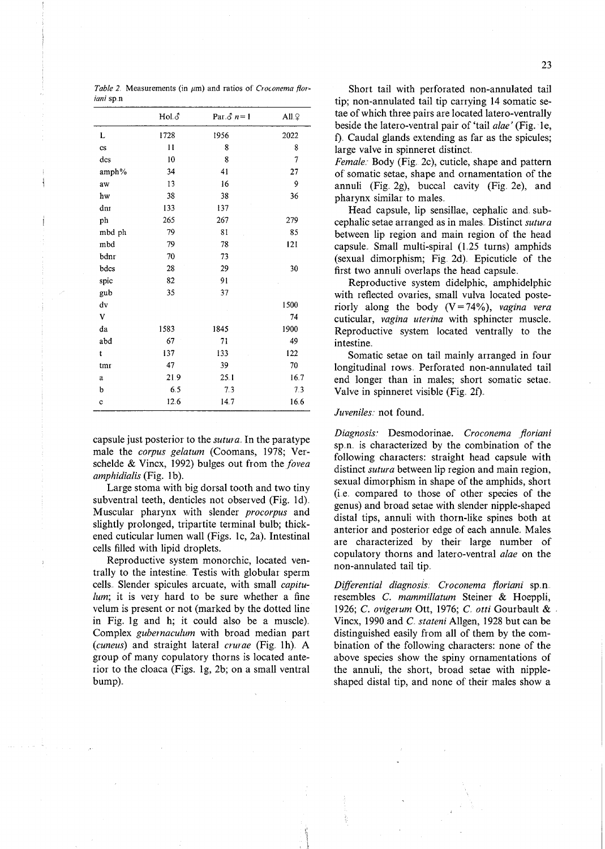|                        | Hol.3         | Par $\delta$ n = 1 | All.   |
|------------------------|---------------|--------------------|--------|
| L                      | 1728          | 1956               | 2022   |
| $\mathbf{c}\mathbf{s}$ | $\mathbf{11}$ | 8                  | 8      |
| dcs                    | 10            | 8                  | $\tau$ |
| amph%                  | 34            | 41                 | 27     |
| aw                     | 13            | 16                 | 9      |
| hw                     | 38            | 38                 | 36     |
| dnr                    | 133           | 137                |        |
| ph                     | 265           | 267                | 279    |
| mbd ph                 | 79            | 81                 | 85     |
| mbd                    | 79            | 78                 | 121    |
| bdnr                   | 70            | 73                 |        |
| bdcs                   | 28            | 29                 | 30     |
| spic                   | 82            | 91                 |        |
| gub                    | 35            | 37                 |        |
| dv                     |               |                    | 1500   |
| V                      |               |                    | 74     |
| da                     | 1583          | 1845               | 1900   |
| abd                    | 67            | 71                 | 49     |
| t                      | 137           | 133                | 122    |
| tmr                    | 47            | 39                 | 70     |
| a                      | 21.9          | 25.1               | 16.7   |
| b                      | 6.5           | 7.3                | 7.3    |
| c                      | 12.6          | 14.7               | 16.6   |

Table 2. Measurements (in µm) and ratios of Croconema florjani sp.n.

capsule just posterior to the *sutura*. In the paratype male the corpus gelatum (Coomans, 1978; Verschelde & Vincx, 1992) bulges out from the fovea amphidialis (Fig. 1b).

Large stoma with big dorsal tooth and two tiny subventral teeth, denticles not observed (Fig. 1d). Muscular pharynx with slender procorpus and slightly prolonged, tripartite terminal bulb; thickened cuticular lumen wall (Figs. 1c, 2a). Intestinal cells filled with lipid droplets.

Reproductive system monorchic, located ventrally to the intestine. Testis with globular sperm cells. Slender spicules arcuate, with small capitulum; it is very hard to be sure whether a fine velum is present or not (marked by the dotted line in Fig. 1g and h; it could also be a muscle). Complex *gubernaculum* with broad median part (cuneus) and straight lateral crurae (Fig. 1h). A group of many copulatory thorns is located anterior to the cloaca (Figs. 1g, 2b; on a small ventral bump).

beside the latero-ventral pair of 'tail alae' (Fig. 1e, f). Caudal glands extending as far as the spicules; large valve in spinneret distinct. Female: Body (Fig. 2c), cuticle, shape and pattern

of somatic setae, shape and ornamentation of the annuli (Fig. 2g), buccal cavity (Fig. 2e), and pharynx similar to males.

Head capsule, lip sensillae, cephalic and subcephalic setae arranged as in males. Distinct sutura between lip region and main region of the head capsule. Small multi-spiral (1.25 turns) amphids (sexual dimorphism; Fig. 2d). Epicuticle of the first two annuli overlaps the head capsule.

Reproductive system didelphic, amphidelphic with reflected ovaries, small vulva located posteriorly along the body (V = 74%), vagina vera cuticular, vagina uterina with sphincter muscle. Reproductive system located ventrally to the intestine.

Somatic setae on tail mainly arranged in four longitudinal rows. Perforated non-annulated tail end longer than in males; short somatic setae. Valve in spinneret visible (Fig. 2f).

#### Juveniles: not found.

Diagnosis: Desmodorinae. Croconema floriani sp.n. is characterized by the combination of the following characters: straight head capsule with distinct *sutura* between lip region and main region, sexual dimorphism in shape of the amphids, short (i.e. compared to those of other species of the genus) and broad setae with slender nipple-shaped distal tips, annuli with thorn-like spines both at anterior and posterior edge of each annule. Males are characterized by their large number of copulatory thorns and latero-ventral alae on the non-annulated tail tip.

Differential diagnosis. Croconema floriani sp.n. resembles C. mammillatum Steiner & Hoeppli, 1926; C. ovigerum Ott, 1976; C. otti Gourbault & Vincx, 1990 and C. stateni Allgen, 1928 but can be distinguished easily from all of them by the combination of the following characters: none of the above species show the spiny ornamentations of the annuli, the short, broad setae with nippleshaped distal tip, and none of their males show a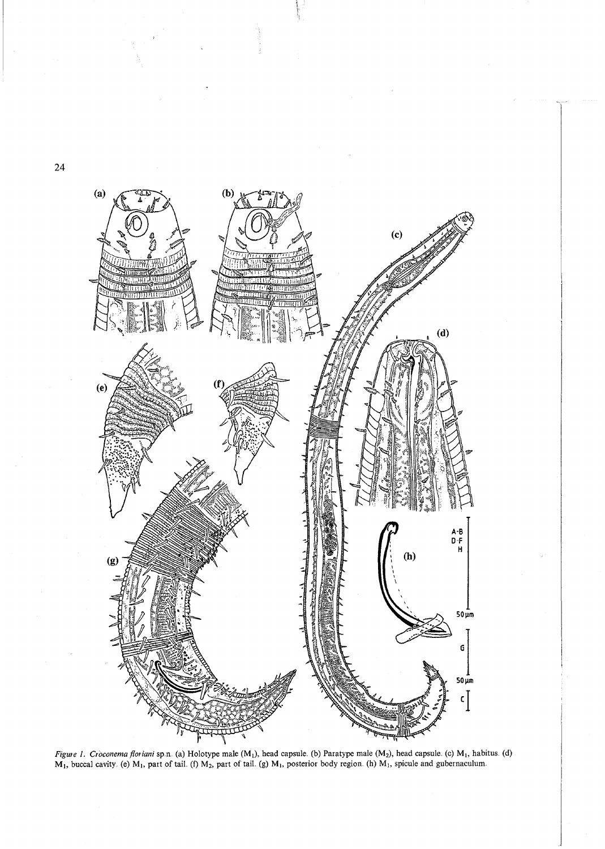

Figure 1. Cròconema floriani sp.n. (a) Holotype male  $(M_1)$ , head capsule. (b) Paratype male  $(M_2)$ , head capsule. (c)  $M_1$ , habitus. (d)  $M_1$ , buccal cavity. (e)  $M_1$ , part of tail. (f)  $M_2$ , part of tail. (g)  $M_1$ ,

24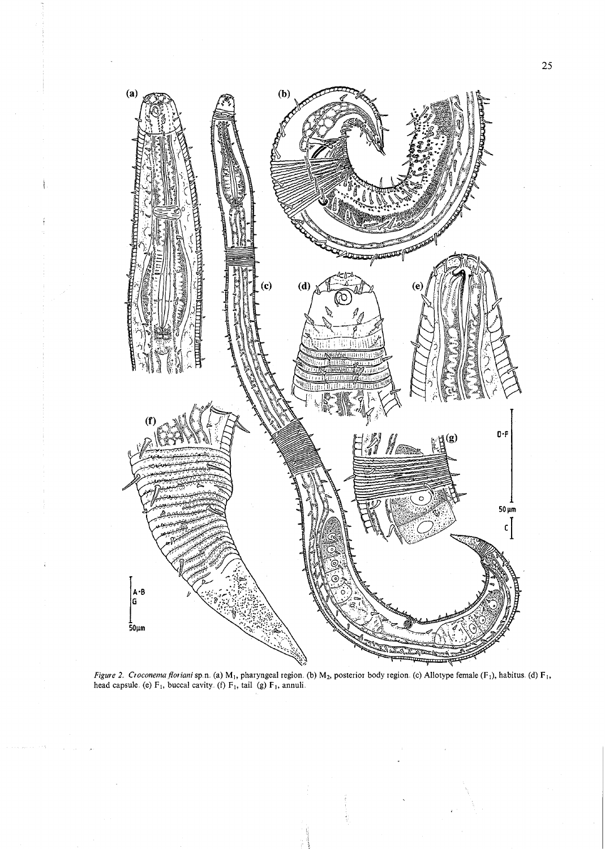

 $\frac{1}{2}$ 

Figure 2. Croconema floriani sp.n. (a) M<sub>1</sub>, pharyngeal region. (b) M<sub>2</sub>, posterior body region. (c) Allotype female (F<sub>1</sub>), habitus. (d) F<sub>1</sub>, hacitus. (d) F<sub>1</sub>, hacitus. (d) F<sub>1</sub>, tail (g) F<sub>1</sub>, tail (g) F<sub>1</sub>, annuli.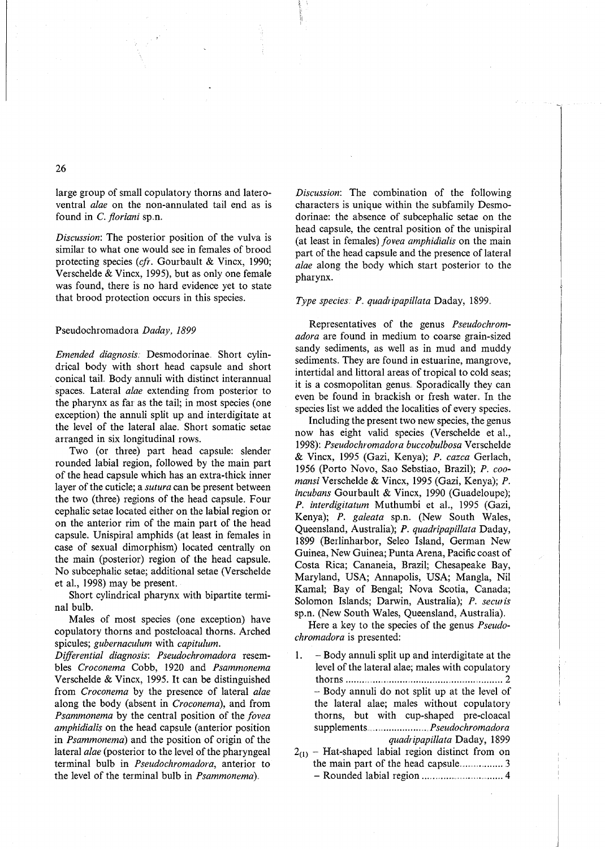large group of small copulatory thorns and lateroventral *alae* on the non-annulated tail end as is found in *C. floriani* sp.n.

*Discussion:* The posterior position of the vulva is similar to what one would see in females of brood protecting species *(cfr.* Gourbault & Vincx, 1990; Verschelde & Vincx, 1995), but as only one female was found, there is no hard evidence yet to state that brood protection occurs in this species.

#### Pseudochromadora *Daday,* 1899

*Emended diagnosis:* Desmodorinae. Short cylindrical body with short head capsule and short conical taiL Body annuli with distinct interannual spaces.. Lateral *alae* extending from posterior to the pharynx as far as the tail; in most species (one exception) the annuli split up and interdigitate at the level of the lateral alae. Short somatic setae arranged in six longitudinal rows.

Two (or three) part head capsule: slender rounded labial region, followed by the main part of the head capsule which has an extra-thick inner layer of the cuticle; a *sutura* can be present between the two (three) regions of the head capsule. Four cephalic setae located either on the labial region or on the anterior rim of the main part of the head capsule. Unispiral amphids (at least in females in case of sexual dimorphism) located centrally on the main (posterior) region of the head capsule. No subcephalic setae; additional setae (Verschelde et aI., 1998) may be present.

Short cylindrical pharynx with bipartite terminal bulb.

Males of most species (one exception) have copulatory thorns and postcloacal thorns. Arched spicules; *gubernaculum* with *capitulum.*

*Differential diagnosis: Pseudochromadora* resembles *Croconema* Cobb, 1920 and *Psammonema* Verschelde & Vincx, 1995. It can be distinguished from *Croconema* by the presence of lateral *alae* along the body (absent in *Croconema),* and from *Psammonema* by the central position of the *fovea amphidialis* on the head capsule (anterior position in *Psammonema)* and the position of origin of the lateral *alae* (posterior to the level of the pharyngeal terminal bulb in *Pseudochromadora,* anterior to the level of the terminal bulb in *Psammonema)..*

*Discussion:* The combination of the following characters is unique within the subfamily Desmodorinae: the absence of subcephalic setae on the head capsule, the central position of the unispiral (at least in females) *fovea amphidialts* on the main part of the head capsule and the presence of lateral *alae* along the body which start posterior to the pharynx.

## *Type species P. quadripapillata* Daday, 1899.

Representatives of the genus *Pseudochromadora* are found in medium to coarse grain-sized sandy sediments, as well as in mud and muddy sediments. They are found in estuarine, mangrove, intertidal and littoral areas of tropical to cold seas; it is a cosmopolitan genus, Sporadically they can even be found in brackish or fresh water. In the species list we added the localities of every species.

Including the present two new species, the genus now has eight valid species (Verschelde et aI., 1998): *Pseudochromadora buccobulbosa* Verschelde & Vincx, 1995 (Gazi, Kenya); *P. cazca* Gerlach, 1956 (Porto Novo, Sao Sebstiao, Brazil); *P. coomansi* Verschelde & Vincx, 1995 (Gazi, Kenya); *P. incubans* Gourbault & Vincx, 1990 (Guadeloupe); *P. interdigitatum* Muthumbi et aI., 1995 (Gazi, Kenya); *P. galeata* sp.n. (New South Wales, Queensland, Australia); *P. quadripapillata* Daday, 1899 (Berlinharbor, Seleo Island, German New Guinea, New Guinea; Punta Arena, Pacific coast of Costa Rica; Cananeia, Brazil; Chesapeake Bay, Maryland, USA; Annapolis, USA; Mangla, Nil Kamal; Bay of Bengal; Nova Scotia, Canada; Solomon Islands; Darwin, Australia); *P. securis* sp.n. (New South Wales, Queensland, Australia).

Here a key to the species of the genus *Pseudochromadora* is presented:

- $1. Body annuli split up and interdigitate at the$ level of the lateral alae; males with copulatory thorns " , , 2 - Body annuli do not split up at the level of the lateral alae; males without copulatory thorns, but with cup-shaped pre-cloacal supplements...........................Pseudochromadora *quadripapillata* Daday, 1899
- $2_{(1)}$  Hat-shaped labial region distinct from on the main part of the head capsule, $, \ldots, \ldots, 3$  $-$  Rounded labial region  $\dots$ ,  $4$